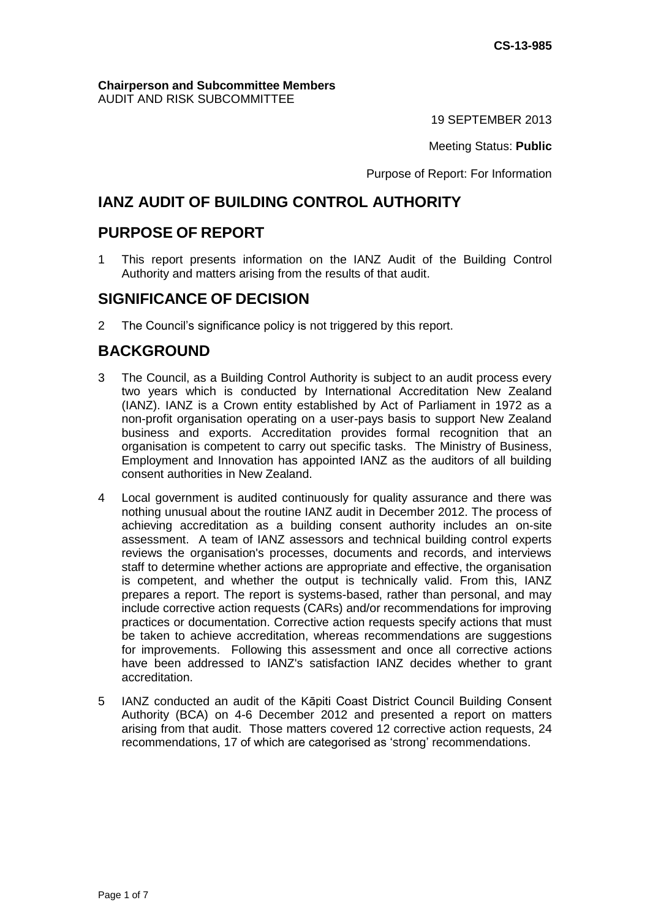#### **Chairperson and Subcommittee Members** AUDIT AND RISK SUBCOMMITTEE

19 SEPTEMBER 2013

Meeting Status: **Public**

Purpose of Report: For Information

# **IANZ AUDIT OF BUILDING CONTROL AUTHORITY**

## **PURPOSE OF REPORT**

1 This report presents information on the IANZ Audit of the Building Control Authority and matters arising from the results of that audit.

## **SIGNIFICANCE OF DECISION**

2 The Council's significance policy is not triggered by this report.

# **BACKGROUND**

- 3 The Council, as a Building Control Authority is subject to an audit process every two years which is conducted by International Accreditation New Zealand (IANZ). IANZ is a Crown entity established by Act of Parliament in 1972 as a non-profit organisation operating on a user-pays basis to support New Zealand business and exports. Accreditation provides formal recognition that an organisation is competent to carry out specific tasks. The Ministry of Business, Employment and Innovation has appointed IANZ as the auditors of all building consent authorities in New Zealand.
- 4 Local government is audited continuously for quality assurance and there was nothing unusual about the routine IANZ audit in December 2012. The process of achieving accreditation as a building consent authority includes an on-site assessment. A team of IANZ assessors and technical building control experts reviews the organisation's processes, documents and records, and interviews staff to determine whether actions are appropriate and effective, the organisation is competent, and whether the output is technically valid. From this, IANZ prepares a report. The report is systems-based, rather than personal, and may include corrective action requests (CARs) and/or recommendations for improving practices or documentation. Corrective action requests specify actions that must be taken to achieve accreditation, whereas recommendations are suggestions for improvements. Following this assessment and once all corrective actions have been addressed to IANZ's satisfaction IANZ decides whether to grant accreditation.
- 5 IANZ conducted an audit of the Kāpiti Coast District Council Building Consent Authority (BCA) on 4-6 December 2012 and presented a report on matters arising from that audit. Those matters covered 12 corrective action requests, 24 recommendations, 17 of which are categorised as 'strong' recommendations.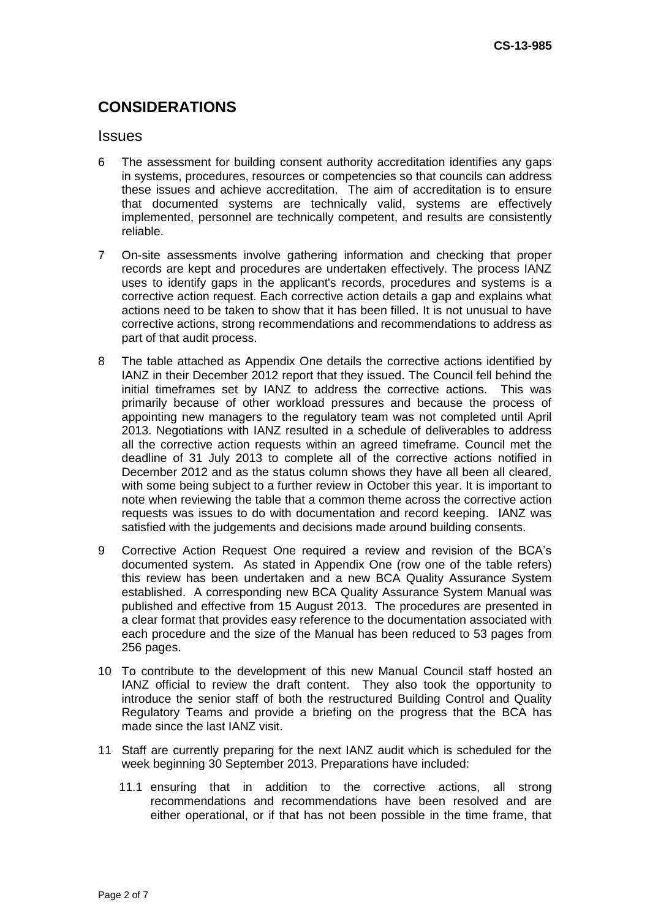# **CONSIDERATIONS**

#### **Issues**

- 6 The assessment for building consent authority accreditation identifies any gaps in systems, procedures, resources or competencies so that councils can address these issues and achieve accreditation. The aim of accreditation is to ensure that documented systems are technically valid, systems are effectively implemented, personnel are technically competent, and results are consistently reliable.
- 7 On-site assessments involve gathering information and checking that proper records are kept and procedures are undertaken effectively. The process IANZ uses to identify gaps in the applicant's records, procedures and systems is a corrective action request. Each corrective action details a gap and explains what actions need to be taken to show that it has been filled. It is not unusual to have corrective actions, strong recommendations and recommendations to address as part of that audit process.
- 8 The table attached as Appendix One details the corrective actions identified by IANZ in their December 2012 report that they issued. The Council fell behind the initial timeframes set by IANZ to address the corrective actions. This was primarily because of other workload pressures and because the process of appointing new managers to the regulatory team was not completed until April 2013. Negotiations with IANZ resulted in a schedule of deliverables to address all the corrective action requests within an agreed timeframe. Council met the deadline of 31 July 2013 to complete all of the corrective actions notified in December 2012 and as the status column shows they have all been all cleared, with some being subject to a further review in October this year. It is important to note when reviewing the table that a common theme across the corrective action requests was issues to do with documentation and record keeping. IANZ was satisfied with the judgements and decisions made around building consents.
- 9 Corrective Action Request One required a review and revision of the BCA's documented system. As stated in Appendix One (row one of the table refers) this review has been undertaken and a new BCA Quality Assurance System established. A corresponding new BCA Quality Assurance System Manual was published and effective from 15 August 2013. The procedures are presented in a clear format that provides easy reference to the documentation associated with each procedure and the size of the Manual has been reduced to 53 pages from 256 pages.
- 10 To contribute to the development of this new Manual Council staff hosted an IANZ official to review the draft content. They also took the opportunity to introduce the senior staff of both the restructured Building Control and Quality Regulatory Teams and provide a briefing on the progress that the BCA has made since the last IANZ visit.
- 11 Staff are currently preparing for the next IANZ audit which is scheduled for the week beginning 30 September 2013. Preparations have included:
	- 11.1 ensuring that in addition to the corrective actions, all strong recommendations and recommendations have been resolved and are either operational, or if that has not been possible in the time frame, that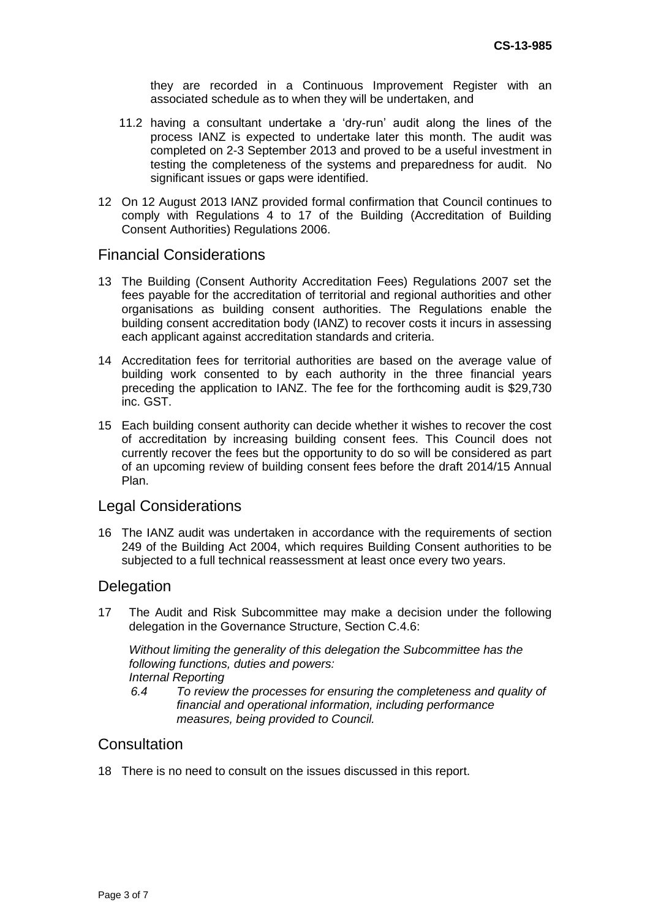they are recorded in a Continuous Improvement Register with an associated schedule as to when they will be undertaken, and

- 11.2 having a consultant undertake a 'dry-run' audit along the lines of the process IANZ is expected to undertake later this month. The audit was completed on 2-3 September 2013 and proved to be a useful investment in testing the completeness of the systems and preparedness for audit. No significant issues or gaps were identified.
- 12 On 12 August 2013 IANZ provided formal confirmation that Council continues to comply with Regulations 4 to 17 of the Building (Accreditation of Building Consent Authorities) Regulations 2006.

## Financial Considerations

- 13 The Building (Consent Authority Accreditation Fees) Regulations 2007 set the fees payable for the accreditation of territorial and regional authorities and other organisations as building consent authorities. The Regulations enable the building consent accreditation body (IANZ) to recover costs it incurs in assessing each applicant against accreditation standards and criteria.
- 14 Accreditation fees for territorial authorities are based on the average value of building work consented to by each authority in the three financial years preceding the application to IANZ. The fee for the forthcoming audit is \$29,730 inc. GST.
- 15 Each building consent authority can decide whether it wishes to recover the cost of accreditation by increasing building consent fees. This Council does not currently recover the fees but the opportunity to do so will be considered as part of an upcoming review of building consent fees before the draft 2014/15 Annual Plan.

#### Legal Considerations

16 The IANZ audit was undertaken in accordance with the requirements of section 249 of the Building Act 2004, which requires Building Consent authorities to be subjected to a full technical reassessment at least once every two years.

#### **Delegation**

17 The Audit and Risk Subcommittee may make a decision under the following delegation in the Governance Structure, Section C.4.6:

*Without limiting the generality of this delegation the Subcommittee has the following functions, duties and powers: Internal Reporting*

*6.4 To review the processes for ensuring the completeness and quality of financial and operational information, including performance measures, being provided to Council.*

## **Consultation**

18 There is no need to consult on the issues discussed in this report.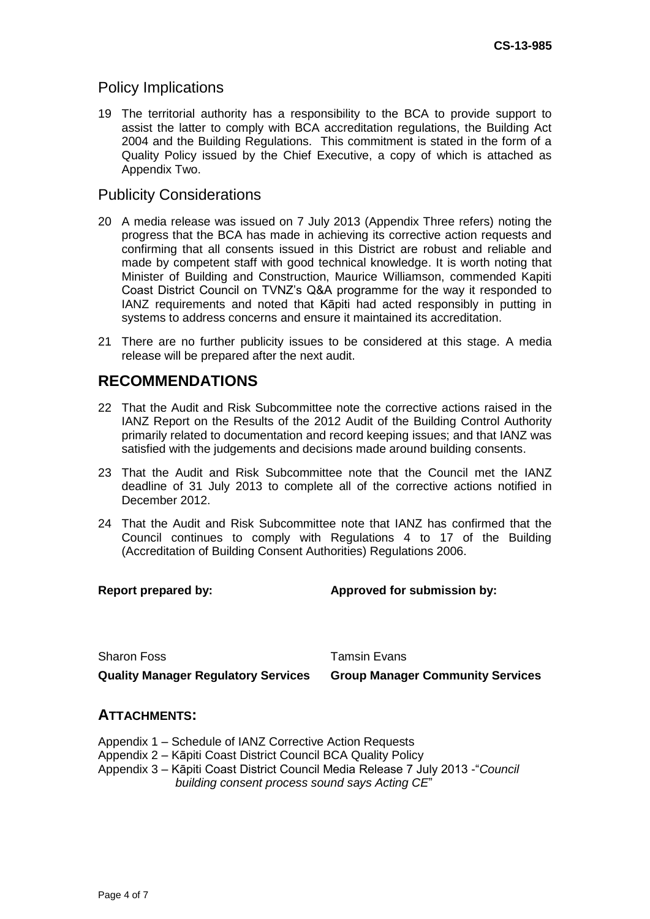## Policy Implications

19 The territorial authority has a responsibility to the BCA to provide support to assist the latter to comply with BCA accreditation regulations, the Building Act 2004 and the Building Regulations. This commitment is stated in the form of a Quality Policy issued by the Chief Executive, a copy of which is attached as Appendix Two.

## Publicity Considerations

- 20 A media release was issued on 7 July 2013 (Appendix Three refers) noting the progress that the BCA has made in achieving its corrective action requests and confirming that all consents issued in this District are robust and reliable and made by competent staff with good technical knowledge. It is worth noting that Minister of Building and Construction, Maurice Williamson, commended Kapiti Coast District Council on TVNZ's Q&A programme for the way it responded to IANZ requirements and noted that Kāpiti had acted responsibly in putting in systems to address concerns and ensure it maintained its accreditation.
- 21 There are no further publicity issues to be considered at this stage. A media release will be prepared after the next audit.

## **RECOMMENDATIONS**

- 22 That the Audit and Risk Subcommittee note the corrective actions raised in the IANZ Report on the Results of the 2012 Audit of the Building Control Authority primarily related to documentation and record keeping issues; and that IANZ was satisfied with the judgements and decisions made around building consents.
- 23 That the Audit and Risk Subcommittee note that the Council met the IANZ deadline of 31 July 2013 to complete all of the corrective actions notified in December 2012.
- 24 That the Audit and Risk Subcommittee note that IANZ has confirmed that the Council continues to comply with Regulations 4 to 17 of the Building (Accreditation of Building Consent Authorities) Regulations 2006.

**Report prepared by: Approved for submission by:**

Sharon Foss Tamsin Evans

**Quality Manager Regulatory Services Group Manager Community Services**

### **ATTACHMENTS:**

- Appendix 1 Schedule of IANZ Corrective Action Requests
- Appendix 2 Kāpiti Coast District Council BCA Quality Policy
- Appendix 3 Kāpiti Coast District Council Media Release 7 July 2013 -"*Council building consent process sound says Acting CE*"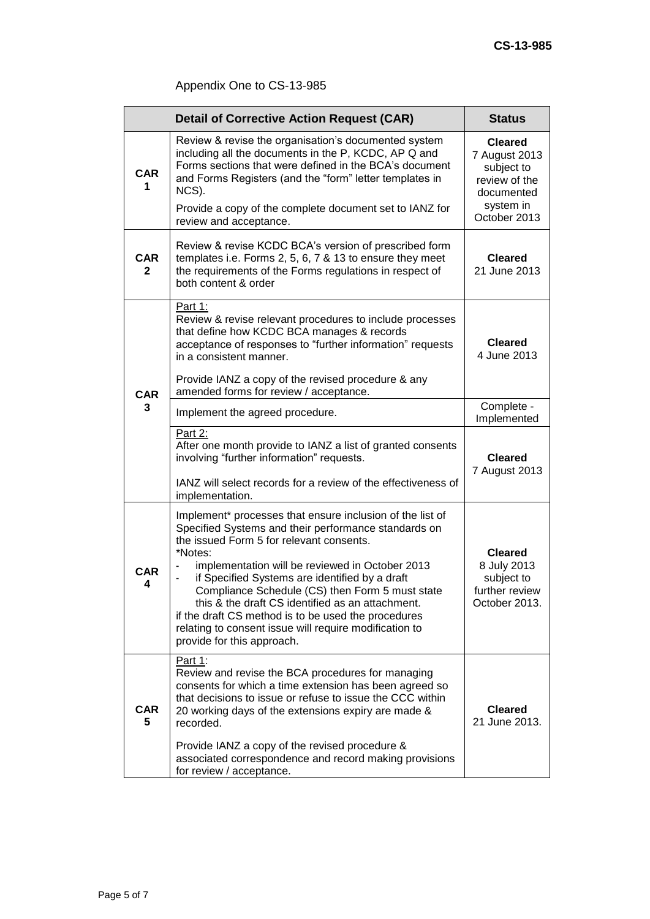# Appendix One to CS-13-985

|                            | <b>Detail of Corrective Action Request (CAR)</b>                                                                                                                                                                                                                                                                                                                                                                                                                                                                                    | <b>Status</b>                                                                                             |
|----------------------------|-------------------------------------------------------------------------------------------------------------------------------------------------------------------------------------------------------------------------------------------------------------------------------------------------------------------------------------------------------------------------------------------------------------------------------------------------------------------------------------------------------------------------------------|-----------------------------------------------------------------------------------------------------------|
| <b>CAR</b><br>1            | Review & revise the organisation's documented system<br>including all the documents in the P, KCDC, AP Q and<br>Forms sections that were defined in the BCA's document<br>and Forms Registers (and the "form" letter templates in<br>NCS).<br>Provide a copy of the complete document set to IANZ for<br>review and acceptance.                                                                                                                                                                                                     | <b>Cleared</b><br>7 August 2013<br>subject to<br>review of the<br>documented<br>system in<br>October 2013 |
| <b>CAR</b><br>$\mathbf{2}$ | Review & revise KCDC BCA's version of prescribed form<br>templates i.e. Forms 2, 5, 6, 7 & 13 to ensure they meet<br>the requirements of the Forms regulations in respect of<br>both content & order                                                                                                                                                                                                                                                                                                                                | <b>Cleared</b><br>21 June 2013                                                                            |
| <b>CAR</b><br>3            | Part 1:<br>Review & revise relevant procedures to include processes<br>that define how KCDC BCA manages & records<br>acceptance of responses to "further information" requests<br>in a consistent manner.<br>Provide IANZ a copy of the revised procedure & any<br>amended forms for review / acceptance.                                                                                                                                                                                                                           | <b>Cleared</b><br>4 June 2013                                                                             |
|                            | Implement the agreed procedure.                                                                                                                                                                                                                                                                                                                                                                                                                                                                                                     | Complete -<br>Implemented                                                                                 |
|                            | Part 2:<br>After one month provide to IANZ a list of granted consents<br>involving "further information" requests.<br>IANZ will select records for a review of the effectiveness of<br>implementation.                                                                                                                                                                                                                                                                                                                              | <b>Cleared</b><br>7 August 2013                                                                           |
| <b>CAR</b><br>4            | Implement* processes that ensure inclusion of the list of<br>Specified Systems and their performance standards on<br>the issued Form 5 for relevant consents.<br>*Notes:<br>implementation will be reviewed in October 2013<br>if Specified Systems are identified by a draft<br>Compliance Schedule (CS) then Form 5 must state<br>this & the draft CS identified as an attachment.<br>if the draft CS method is to be used the procedures<br>relating to consent issue will require modification to<br>provide for this approach. | <b>Cleared</b><br>8 July 2013<br>subject to<br>further review<br>October 2013.                            |
| <b>CAR</b><br>5            | <u>Part 1:</u><br>Review and revise the BCA procedures for managing<br>consents for which a time extension has been agreed so<br>that decisions to issue or refuse to issue the CCC within<br>20 working days of the extensions expiry are made &<br>recorded.<br>Provide IANZ a copy of the revised procedure &<br>associated correspondence and record making provisions<br>for review / acceptance.                                                                                                                              | <b>Cleared</b><br>21 June 2013.                                                                           |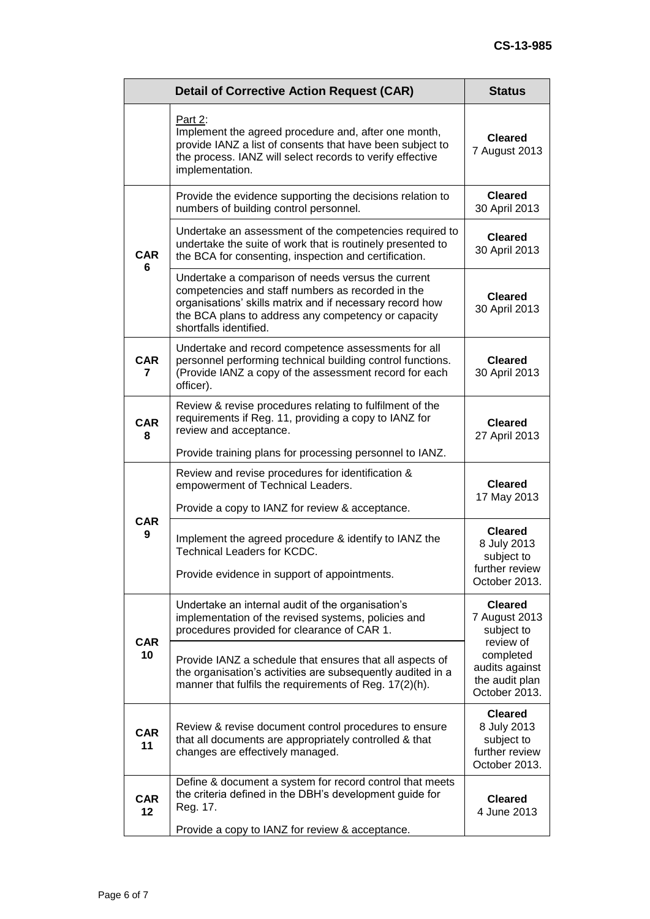|                  | <b>Detail of Corrective Action Request (CAR)</b>                                                                                                                                                                                                     | <b>Status</b>                                                                  |
|------------------|------------------------------------------------------------------------------------------------------------------------------------------------------------------------------------------------------------------------------------------------------|--------------------------------------------------------------------------------|
|                  | Part 2:<br>Implement the agreed procedure and, after one month,<br>provide IANZ a list of consents that have been subject to<br>the process. IANZ will select records to verify effective<br>implementation.                                         | <b>Cleared</b><br>7 August 2013                                                |
| <b>CAR</b><br>6  | Provide the evidence supporting the decisions relation to<br>numbers of building control personnel.                                                                                                                                                  | <b>Cleared</b><br>30 April 2013                                                |
|                  | Undertake an assessment of the competencies required to<br>undertake the suite of work that is routinely presented to<br>the BCA for consenting, inspection and certification.                                                                       | <b>Cleared</b><br>30 April 2013                                                |
|                  | Undertake a comparison of needs versus the current<br>competencies and staff numbers as recorded in the<br>organisations' skills matrix and if necessary record how<br>the BCA plans to address any competency or capacity<br>shortfalls identified. | <b>Cleared</b><br>30 April 2013                                                |
| <b>CAR</b><br>7  | Undertake and record competence assessments for all<br>personnel performing technical building control functions.<br>(Provide IANZ a copy of the assessment record for each<br>officer).                                                             | <b>Cleared</b><br>30 April 2013                                                |
| <b>CAR</b><br>8  | Review & revise procedures relating to fulfilment of the<br>requirements if Reg. 11, providing a copy to IANZ for<br>review and acceptance.                                                                                                          | <b>Cleared</b><br>27 April 2013                                                |
|                  | Provide training plans for processing personnel to IANZ.                                                                                                                                                                                             |                                                                                |
| <b>CAR</b><br>9  | Review and revise procedures for identification &<br>empowerment of Technical Leaders.                                                                                                                                                               | <b>Cleared</b><br>17 May 2013                                                  |
|                  | Provide a copy to IANZ for review & acceptance.                                                                                                                                                                                                      |                                                                                |
|                  | Implement the agreed procedure & identify to IANZ the<br><b>Technical Leaders for KCDC.</b><br>Provide evidence in support of appointments.                                                                                                          | <b>Cleared</b><br>8 July 2013<br>subject to<br>further review<br>October 2013. |
| <b>CAR</b><br>10 | Undertake an internal audit of the organisation's<br>implementation of the revised systems, policies and<br>procedures provided for clearance of CAR 1.                                                                                              | <b>Cleared</b><br>7 August 2013<br>subject to<br>review of                     |
|                  | Provide IANZ a schedule that ensures that all aspects of<br>the organisation's activities are subsequently audited in a<br>manner that fulfils the requirements of Reg. 17(2)(h).                                                                    | completed<br>audits against<br>the audit plan<br>October 2013.                 |
| <b>CAR</b><br>11 | Review & revise document control procedures to ensure<br>that all documents are appropriately controlled & that<br>changes are effectively managed.                                                                                                  | <b>Cleared</b><br>8 July 2013<br>subject to<br>further review<br>October 2013. |
| <b>CAR</b><br>12 | Define & document a system for record control that meets<br>the criteria defined in the DBH's development guide for<br>Reg. 17.                                                                                                                      | <b>Cleared</b><br>4 June 2013                                                  |
|                  | Provide a copy to IANZ for review & acceptance.                                                                                                                                                                                                      |                                                                                |